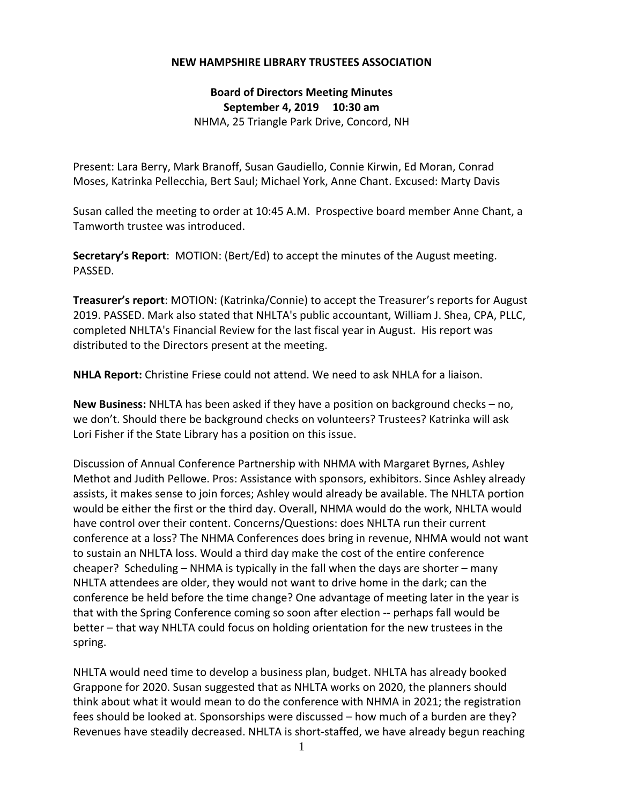## **NEW HAMPSHIRE LIBRARY TRUSTEES ASSOCIATION**

**Board of Directors Meeting Minutes September 4, 2019 10:30 am** NHMA, 25 Triangle Park Drive, Concord, NH

Present: Lara Berry, Mark Branoff, Susan Gaudiello, Connie Kirwin, Ed Moran, Conrad Moses, Katrinka Pellecchia, Bert Saul; Michael York, Anne Chant. Excused: Marty Davis

Susan called the meeting to order at 10:45 A.M. Prospective board member Anne Chant, a Tamworth trustee was introduced.

**Secretary's Report**: MOTION: (Bert/Ed) to accept the minutes of the August meeting. PASSED.

**Treasurer's report**: MOTION: (Katrinka/Connie) to accept the Treasurer's reports for August 2019. PASSED. Mark also stated that NHLTA's public accountant, William J. Shea, CPA, PLLC, completed NHLTA's Financial Review for the last fiscal year in August. His report was distributed to the Directors present at the meeting.

**NHLA Report:** Christine Friese could not attend. We need to ask NHLA for a liaison.

**New Business:** NHLTA has been asked if they have a position on background checks – no, we don't. Should there be background checks on volunteers? Trustees? Katrinka will ask Lori Fisher if the State Library has a position on this issue.

Discussion of Annual Conference Partnership with NHMA with Margaret Byrnes, Ashley Methot and Judith Pellowe. Pros: Assistance with sponsors, exhibitors. Since Ashley already assists, it makes sense to join forces; Ashley would already be available. The NHLTA portion would be either the first or the third day. Overall, NHMA would do the work, NHLTA would have control over their content. Concerns/Questions: does NHLTA run their current conference at a loss? The NHMA Conferences does bring in revenue, NHMA would not want to sustain an NHLTA loss. Would a third day make the cost of the entire conference cheaper? Scheduling – NHMA is typically in the fall when the days are shorter – many NHLTA attendees are older, they would not want to drive home in the dark; can the conference be held before the time change? One advantage of meeting later in the year is that with the Spring Conference coming so soon after election ‐‐ perhaps fall would be better – that way NHLTA could focus on holding orientation for the new trustees in the spring.

NHLTA would need time to develop a business plan, budget. NHLTA has already booked Grappone for 2020. Susan suggested that as NHLTA works on 2020, the planners should think about what it would mean to do the conference with NHMA in 2021; the registration fees should be looked at. Sponsorships were discussed – how much of a burden are they? Revenues have steadily decreased. NHLTA is short‐staffed, we have already begun reaching